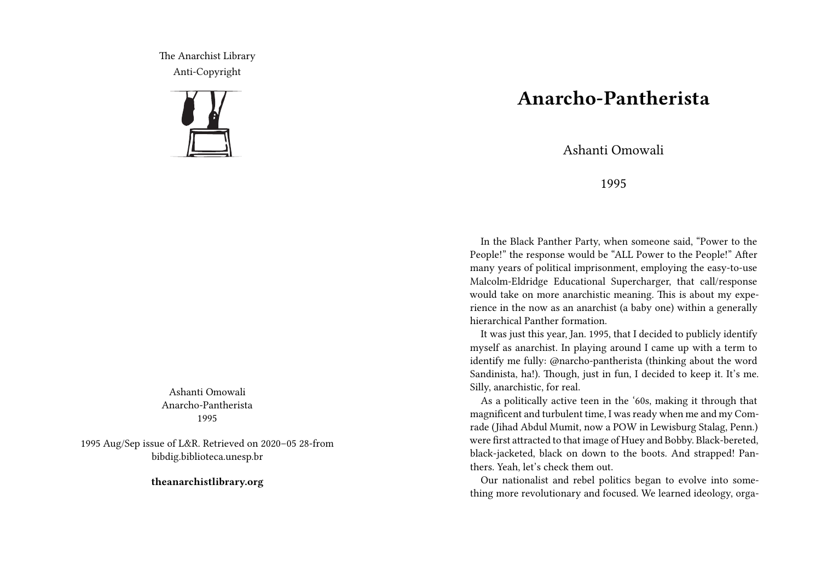The Anarchist Library Anti-Copyright



Ashanti Omowali Anarcho-Pantherista 1995

1995 Aug/Sep issue of L&R. Retrieved on 2020–05 28-from bibdig.biblioteca.unesp.br

**theanarchistlibrary.org**

## **Anarcho-Pantherista**

Ashanti Omowali

## 1995

In the Black Panther Party, when someone said, "Power to the People!" the response would be "ALL Power to the People!" After many years of political imprisonment, employing the easy-to-use Malcolm-Eldridge Educational Supercharger, that call/response would take on more anarchistic meaning. This is about my experience in the now as an anarchist (a baby one) within a generally hierarchical Panther formation.

It was just this year, Jan. 1995, that I decided to publicly identify myself as anarchist. In playing around I came up with a term to identify me fully: @narcho-pantherista (thinking about the word Sandinista, ha!). Though, just in fun, I decided to keep it. It's me. Silly, anarchistic, for real.

As a politically active teen in the '60s, making it through that magnificent and turbulent time, I was ready when me and my Comrade (Jihad Abdul Mumit, now a POW in Lewisburg Stalag, Penn.) were first attracted to that image of Huey and Bobby. Black-bereted, black-jacketed, black on down to the boots. And strapped! Panthers. Yeah, let's check them out.

Our nationalist and rebel politics began to evolve into something more revolutionary and focused. We learned ideology, orga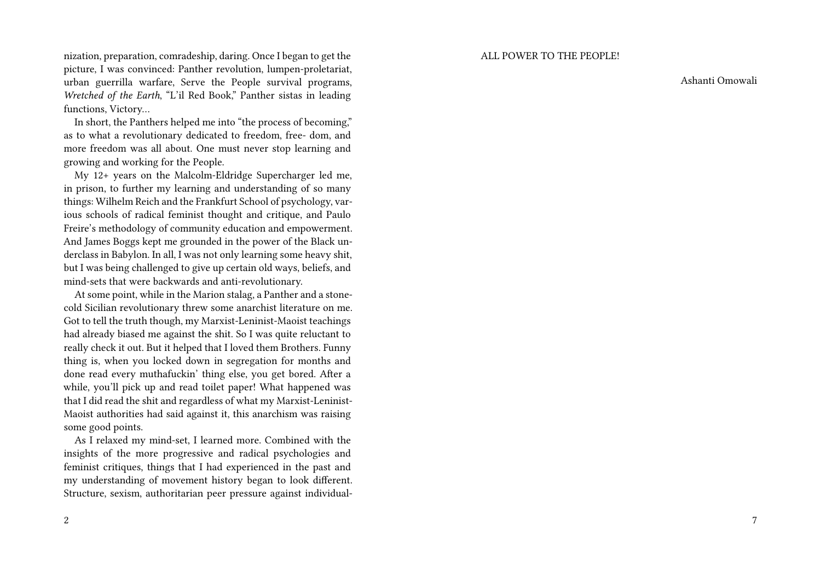nization, preparation, comradeship, daring. Once I began to get the picture, I was convinced: Panther revolution, lumpen-proletariat, urban guerrilla warfare, Serve the People survival programs, *Wretched of the Earth*, "L'il Red Book," Panther sistas in leading functions, Victory…

In short, the Panthers helped me into "the process of becoming," as to what a revolutionary dedicated to freedom, free- dom, and more freedom was all about. One must never stop learning and growing and working for the People.

My 12+ years on the Malcolm-Eldridge Supercharger led me, in prison, to further my learning and understanding of so many things: Wilhelm Reich and the Frankfurt School of psychology, various schools of radical feminist thought and critique, and Paulo Freire's methodology of community education and empowerment. And James Boggs kept me grounded in the power of the Black underclass in Babylon. In all, I was not only learning some heavy shit, but I was being challenged to give up certain old ways, beliefs, and mind-sets that were backwards and anti-revolutionary.

At some point, while in the Marion stalag, a Panther and a stonecold Sicilian revolutionary threw some anarchist literature on me. Got to tell the truth though, my Marxist-Leninist-Maoist teachings had already biased me against the shit. So I was quite reluctant to really check it out. But it helped that I loved them Brothers. Funny thing is, when you locked down in segregation for months and done read every muthafuckin' thing else, you get bored. After a while, you'll pick up and read toilet paper! What happened was that I did read the shit and regardless of what my Marxist-Leninist-Maoist authorities had said against it, this anarchism was raising some good points.

As I relaxed my mind-set, I learned more. Combined with the insights of the more progressive and radical psychologies and feminist critiques, things that I had experienced in the past and my understanding of movement history began to look different. Structure, sexism, authoritarian peer pressure against individualAshanti Omowali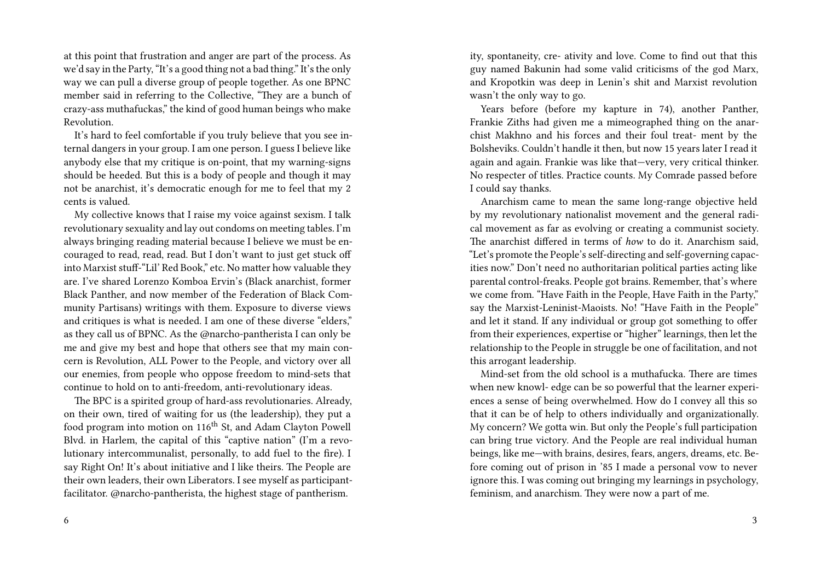at this point that frustration and anger are part of the process. As we'd say in the Party, "It's a good thing not a bad thing." It's the only way we can pull a diverse group of people together. As one BPNC member said in referring to the Collective, "They are a bunch of crazy-ass muthafuckas," the kind of good human beings who make Revolution.

It's hard to feel comfortable if you truly believe that you see internal dangers in your group. I am one person. I guess I believe like anybody else that my critique is on-point, that my warning-signs should be heeded. But this is a body of people and though it may not be anarchist, it's democratic enough for me to feel that my 2 cents is valued.

My collective knows that I raise my voice against sexism. I talk revolutionary sexuality and lay out condoms on meeting tables. I'm always bringing reading material because I believe we must be encouraged to read, read, read. But I don't want to just get stuck off into Marxist stuff-"Lil' Red Book," etc. No matter how valuable they are. I've shared Lorenzo Komboa Ervin's (Black anarchist, former Black Panther, and now member of the Federation of Black Community Partisans) writings with them. Exposure to diverse views and critiques is what is needed. I am one of these diverse "elders," as they call us of BPNC. As the @narcho-pantherista I can only be me and give my best and hope that others see that my main concern is Revolution, ALL Power to the People, and victory over all our enemies, from people who oppose freedom to mind-sets that continue to hold on to anti-freedom, anti-revolutionary ideas.

The BPC is a spirited group of hard-ass revolutionaries. Already, on their own, tired of waiting for us (the leadership), they put a food program into motion on 116<sup>th</sup> St, and Adam Clayton Powell Blvd. in Harlem, the capital of this "captive nation" (I'm a revolutionary intercommunalist, personally, to add fuel to the fire). I say Right On! It's about initiative and I like theirs. The People are their own leaders, their own Liberators. I see myself as participantfacilitator. @narcho-pantherista, the highest stage of pantherism.

6

ity, spontaneity, cre- ativity and love. Come to find out that this guy named Bakunin had some valid criticisms of the god Marx, and Kropotkin was deep in Lenin's shit and Marxist revolution wasn't the only way to go.

Years before (before my kapture in 74), another Panther, Frankie Ziths had given me a mimeographed thing on the anarchist Makhno and his forces and their foul treat- ment by the Bolsheviks. Couldn't handle it then, but now 15 years later I read it again and again. Frankie was like that—very, very critical thinker. No respecter of titles. Practice counts. My Comrade passed before I could say thanks.

Anarchism came to mean the same long-range objective held by my revolutionary nationalist movement and the general radical movement as far as evolving or creating a communist society. The anarchist differed in terms of *how* to do it. Anarchism said, "Let's promote the People's self-directing and self-governing capacities now." Don't need no authoritarian political parties acting like parental control-freaks. People got brains. Remember, that's where we come from. "Have Faith in the People, Have Faith in the Party," say the Marxist-Leninist-Maoists. No! "Have Faith in the People" and let it stand. If any individual or group got something to offer from their experiences, expertise or "higher" learnings, then let the relationship to the People in struggle be one of facilitation, and not this arrogant leadership.

Mind-set from the old school is a muthafucka. There are times when new knowl- edge can be so powerful that the learner experiences a sense of being overwhelmed. How do I convey all this so that it can be of help to others individually and organizationally. My concern? We gotta win. But only the People's full participation can bring true victory. And the People are real individual human beings, like me—with brains, desires, fears, angers, dreams, etc. Before coming out of prison in '85 I made a personal vow to never ignore this. I was coming out bringing my learnings in psychology, feminism, and anarchism. They were now a part of me.